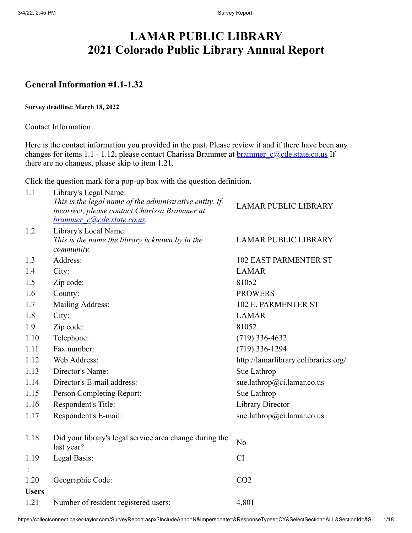# **LAMAR PUBLIC LIBRARY 2021 Colorado Public Library Annual Report**

## **General Information #1.1-1.32**

#### **Survey deadline: March 18, 2022**

Contact Information

Here is the contact information you provided in the past. Please review it and if there have been any changes for items 1.1 - 1.12, please contact Charissa Brammer at **[brammer\\_c@cde.state.co.us](mailto:brammer_c@cde.state.co.us)** If there are no changes, please skip to item 1.21.

Click the question mark for a pop-up box with the question definition.

| 1.1          | Library's Legal Name:                                                                                    |                                      |
|--------------|----------------------------------------------------------------------------------------------------------|--------------------------------------|
|              | This is the legal name of the administrative entity. If<br>incorrect, please contact Charissa Brammer at | <b>LAMAR PUBLIC LIBRARY</b>          |
|              | brammer c@cde.state.co.us.                                                                               |                                      |
| 1.2          | Library's Local Name:                                                                                    |                                      |
|              | This is the name the library is known by in the<br>community.                                            | <b>LAMAR PUBLIC LIBRARY</b>          |
| 1.3          | Address:                                                                                                 | <b>102 EAST PARMENTER ST</b>         |
| 1.4          | City:                                                                                                    | <b>LAMAR</b>                         |
| 1.5          | Zip code:                                                                                                | 81052                                |
| 1.6          | County:                                                                                                  | <b>PROWERS</b>                       |
| 1.7          | Mailing Address:                                                                                         | 102 E. PARMENTER ST                  |
| 1.8          | City:                                                                                                    | <b>LAMAR</b>                         |
| 1.9          | Zip code:                                                                                                | 81052                                |
| 1.10         | Telephone:                                                                                               | $(719)$ 336-4632                     |
| 1.11         | Fax number:                                                                                              | $(719)$ 336-1294                     |
| 1.12         | Web Address:                                                                                             | http://lamarlibrary.colibraries.org/ |
| 1.13         | Director's Name:                                                                                         | Sue Lathrop                          |
| 1.14         | Director's E-mail address:                                                                               | sue.lathrop@ci.lamar.co.us           |
| 1.15         | Person Completing Report:                                                                                | Sue Lathrop                          |
| 1.16         | Respondent's Title:                                                                                      | <b>Library Director</b>              |
| 1.17         | Respondent's E-mail:                                                                                     | sue.lathrop@ci.lamar.co.us           |
| 1.18         | Did your library's legal service area change during the<br>last year?                                    | No                                   |
| 1.19         | Legal Basis:                                                                                             | CI                                   |
|              |                                                                                                          |                                      |
| 1.20         | Geographic Code:                                                                                         | CO <sub>2</sub>                      |
| <b>Users</b> |                                                                                                          |                                      |
| 1.21         | Number of resident registered users:                                                                     | 4,801                                |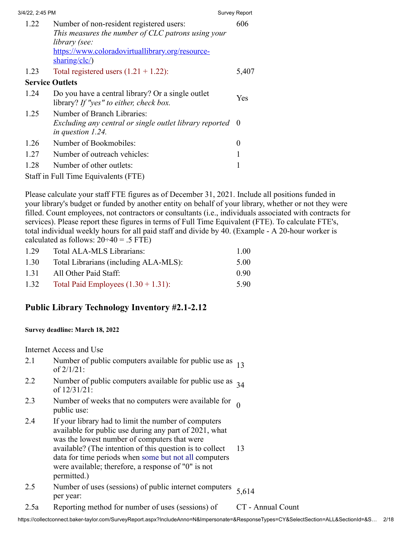| 3/4/22, 2:45 PM |      |                                                                                                                                                                                      | <b>Survey Report</b> |
|-----------------|------|--------------------------------------------------------------------------------------------------------------------------------------------------------------------------------------|----------------------|
|                 | 1.22 | Number of non-resident registered users:<br>This measures the number of CLC patrons using your<br>library (see:<br>https://www.coloradovirtuallibrary.org/resource-<br>sharing/clc/) | 606                  |
|                 | 1.23 | Total registered users $(1.21 + 1.22)$ :                                                                                                                                             | 5,407                |
|                 |      | <b>Service Outlets</b>                                                                                                                                                               |                      |
|                 | 1.24 | Do you have a central library? Or a single outlet<br>library? If "yes" to either, check box.                                                                                         | Yes                  |
|                 | 1.25 | Number of Branch Libraries:<br>Excluding any central or single outlet library reported<br>in question $1.24$ .                                                                       | - 0                  |
|                 | 1.26 | Number of Bookmobiles:                                                                                                                                                               | 0                    |
|                 | 1.27 | Number of outreach vehicles:                                                                                                                                                         |                      |
|                 | 1.28 | Number of other outlets:                                                                                                                                                             |                      |
|                 |      | Staff in Full Time Equivalents (FTE)                                                                                                                                                 |                      |
|                 |      |                                                                                                                                                                                      |                      |

Please calculate your staff FTE figures as of December 31, 2021. Include all positions funded in your library's budget or funded by another entity on behalf of your library, whether or not they were filled. Count employees, not contractors or consultants (i.e., individuals associated with contracts for services). Please report these figures in terms of Full Time Equivalent (FTE). To calculate FTE's, total individual weekly hours for all paid staff and divide by 40. (Example - A 20-hour worker is calculated as follows:  $20\div 40 = .5$  FTE)

| 1.29 | Total ALA-MLS Librarians:              | 1.00 |
|------|----------------------------------------|------|
| 1.30 | Total Librarians (including ALA-MLS):  | 5.00 |
| 1.31 | All Other Paid Staff:                  | 0.90 |
| 1.32 | Total Paid Employees $(1.30 + 1.31)$ : | 5.90 |

## **Public Library Technology Inventory #2.1-2.12**

#### **Survey deadline: March 18, 2022**

Internet Access and Use

- 2.1 Number of public computers available for public use as  $13 \text{ of } 2/1/21$ :
- 2.2 Number of public computers available for public use as  $\frac{34}{ }$
- 2.3 Number of weeks that no computers were available for 0 public use:
- 2.4 If your library had to limit the number of computers available for public use during any part of 2021, what was the lowest number of computers that were available? (The intention of this question is to collect data for time periods when some but not all computers were available; therefore, a response of "0" is not permitted.) 13
- 2.5 Number of uses (sessions) of public internet computers per year: 5,614
- 2.5a Reporting method for number of uses (sessions) of CT Annual Count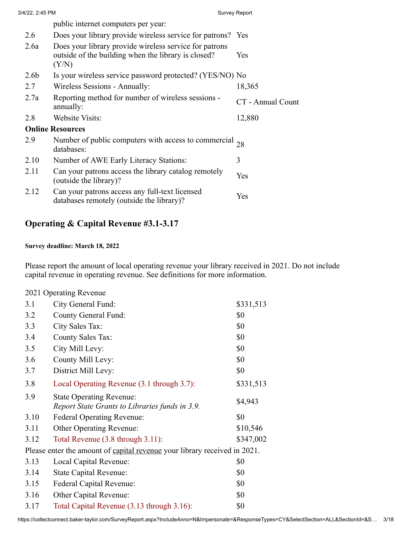| 3/4/22, 2:45 PM  |                                                                                                                        | <b>Survey Report</b> |
|------------------|------------------------------------------------------------------------------------------------------------------------|----------------------|
|                  | public internet computers per year:                                                                                    |                      |
| 2.6              | Does your library provide wireless service for patrons? Yes                                                            |                      |
| 2.6a             | Does your library provide wireless service for patrons<br>outside of the building when the library is closed?<br>(Y/N) | Yes                  |
| 2.6 <sub>b</sub> | Is your wireless service password protected? (YES/NO) No                                                               |                      |
| 2.7              | Wireless Sessions - Annually:                                                                                          | 18,365               |
| 2.7a             | Reporting method for number of wireless sessions -<br>annually:                                                        | CT - Annual Count    |
| 2.8              | <b>Website Visits:</b>                                                                                                 | 12,880               |
|                  | <b>Online Resources</b>                                                                                                |                      |
| 2.9              | Number of public computers with access to commercial $_{28}$<br>databases:                                             |                      |
| 2.10             | Number of AWE Early Literacy Stations:                                                                                 | 3                    |
| 2.11             | Can your patrons access the library catalog remotely<br>(outside the library)?                                         | Yes                  |
| 2.12             | Can your patrons access any full-text licensed<br>databases remotely (outside the library)?                            | Yes                  |
|                  |                                                                                                                        |                      |

# **Operating & Capital Revenue #3.1-3.17**

#### **Survey deadline: March 18, 2022**

Please report the amount of local operating revenue your library received in 2021. Do not include capital revenue in operating revenue. See definitions for more information.

|  | 2021 Operating Revenue |  |
|--|------------------------|--|
|--|------------------------|--|

| 3.1  | City General Fund:                                                                | \$331,513 |
|------|-----------------------------------------------------------------------------------|-----------|
| 3.2  | <b>County General Fund:</b>                                                       | \$0       |
| 3.3  | City Sales Tax:                                                                   | \$0       |
| 3.4  | <b>County Sales Tax:</b>                                                          | \$0       |
| 3.5  | City Mill Levy:                                                                   | \$0       |
| 3.6  | County Mill Levy:                                                                 | \$0       |
| 3.7  | District Mill Levy:                                                               | \$0       |
| 3.8  | Local Operating Revenue (3.1 through 3.7):                                        | \$331,513 |
| 3.9  | <b>State Operating Revenue:</b><br>Report State Grants to Libraries funds in 3.9. | \$4,943   |
| 3.10 | Federal Operating Revenue:                                                        | \$0       |
| 3.11 | <b>Other Operating Revenue:</b>                                                   | \$10,546  |
| 3.12 | Total Revenue (3.8 through 3.11):                                                 | \$347,002 |
|      | Please enter the amount of capital revenue your library received in 2021.         |           |
| 3.13 | Local Capital Revenue:                                                            | \$0       |
| 3.14 | <b>State Capital Revenue:</b>                                                     | \$0       |
| 3.15 | <b>Federal Capital Revenue:</b>                                                   | \$0       |
| 3.16 | Other Capital Revenue:                                                            | \$0       |
| 3.17 | Total Capital Revenue (3.13 through 3.16):                                        | \$0       |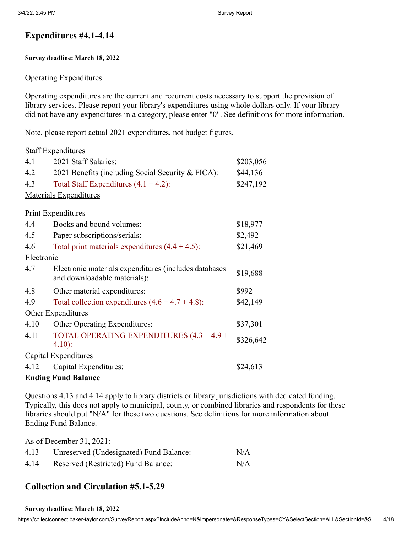## **Expenditures #4.1-4.14**

#### **Survey deadline: March 18, 2022**

#### Operating Expenditures

Operating expenditures are the current and recurrent costs necessary to support the provision of library services. Please report your library's expenditures using whole dollars only. If your library did not have any expenditures in a category, please enter "0". See definitions for more information.

Note, please report actual 2021 expenditures, not budget figures.

| <b>Staff Expenditures</b>  |                                                                                       |           |  |
|----------------------------|---------------------------------------------------------------------------------------|-----------|--|
| 4.1                        | 2021 Staff Salaries:                                                                  | \$203,056 |  |
| 4.2                        | 2021 Benefits (including Social Security & FICA):                                     | \$44,136  |  |
| 4.3                        | Total Staff Expenditures $(4.1 + 4.2)$ :                                              | \$247,192 |  |
|                            | <b>Materials Expenditures</b>                                                         |           |  |
|                            | <b>Print Expenditures</b>                                                             |           |  |
| 4.4                        | Books and bound volumes:                                                              | \$18,977  |  |
| 4.5                        | Paper subscriptions/serials:                                                          | \$2,492   |  |
| 4.6                        | Total print materials expenditures $(4.4 + 4.5)$ :                                    | \$21,469  |  |
| Electronic                 |                                                                                       |           |  |
| 4.7                        | Electronic materials expenditures (includes databases<br>and downloadable materials): | \$19,688  |  |
| 4.8                        | Other material expenditures:                                                          | \$992     |  |
| 4.9                        | Total collection expenditures $(4.6 + 4.7 + 4.8)$ :                                   | \$42,149  |  |
|                            | Other Expenditures                                                                    |           |  |
| 4.10                       | Other Operating Expenditures:                                                         | \$37,301  |  |
| 4.11                       | TOTAL OPERATING EXPENDITURES (4.3 + 4.9 +                                             | \$326,642 |  |
|                            | $4.10$ :                                                                              |           |  |
|                            | <b>Capital Expenditures</b>                                                           |           |  |
| 4.12                       | Capital Expenditures:                                                                 | \$24,613  |  |
| <b>Ending Fund Balance</b> |                                                                                       |           |  |

Questions 4.13 and 4.14 apply to library districts or library jurisdictions with dedicated funding. Typically, this does not apply to municipal, county, or combined libraries and respondents for these libraries should put "N/A" for these two questions. See definitions for more information about Ending Fund Balance.

As of December 31, 2021:

| 4.13 | Unreserved (Undesignated) Fund Balance: | N/A |
|------|-----------------------------------------|-----|
| 4.14 | Reserved (Restricted) Fund Balance:     | N/A |

## **Collection and Circulation #5.1-5.29**

#### **Survey deadline: March 18, 2022**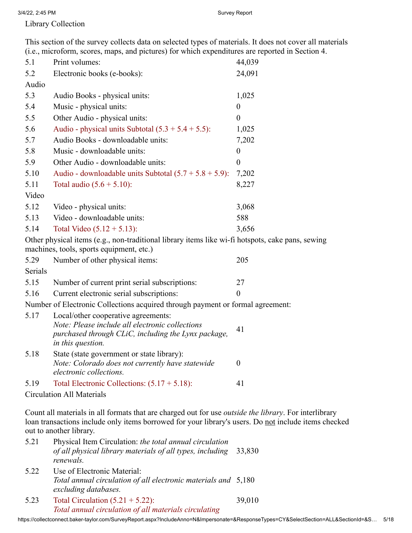3/4/22, 2:45 PM Survey Report

Library Collection

This section of the survey collects data on selected types of materials. It does not cover all materials (i.e., microform, scores, maps, and pictures) for which expenditures are reported in Section 4.

| 5.1   | Print volumes:                                            | 44,039   |
|-------|-----------------------------------------------------------|----------|
| 5.2   | Electronic books (e-books):                               | 24,091   |
| Audio |                                                           |          |
| 5.3   | Audio Books - physical units:                             | 1,025    |
| 5.4   | Music - physical units:                                   | $\theta$ |
| 5.5   | Other Audio - physical units:                             | $\Omega$ |
| 5.6   | Audio - physical units Subtotal $(5.3 + 5.4 + 5.5)$ :     | 1,025    |
| 5.7   | Audio Books - downloadable units:                         | 7,202    |
| 5.8   | Music - downloadable units:                               | $\Omega$ |
| 5.9   | Other Audio - downloadable units:                         | 0        |
| 5.10  | Audio - downloadable units Subtotal $(5.7 + 5.8 + 5.9)$ : | 7,202    |
| 5.11  | Total audio $(5.6 + 5.10)$ :                              | 8,227    |
| Video |                                                           |          |
| 5.12  | Video - physical units:                                   | 3,068    |
| 5.13  | Video - downloadable units:                               | 588      |
| 5.14  | Total Video $(5.12 + 5.13)$ :                             | 3,656    |
|       |                                                           |          |

Other physical items (e.g., non-traditional library items like wi-fi hotspots, cake pans, sewing machines, tools, sports equipment, etc.)

| 5.29    | Number of other physical items:               | 205 |
|---------|-----------------------------------------------|-----|
| Serials |                                               |     |
| 5.15    | Number of current print serial subscriptions: | 27  |
| 5.16    | Current electronic serial subscriptions:      |     |

Number of Electronic Collections acquired through payment or formal agreement:

| 5.17 | Local/other cooperative agreements:<br>Note: Please include all electronic collections<br>purchased through CLiC, including the Lynx package,<br>in this question. | 41 |
|------|--------------------------------------------------------------------------------------------------------------------------------------------------------------------|----|
| 5.18 | State (state government or state library):<br>Note: Colorado does not currently have statewide<br>electronic collections.                                          |    |
| 5.19 | Total Electronic Collections: $(5.17 + 5.18)$ :                                                                                                                    |    |

Circulation All Materials

Count all materials in all formats that are charged out for use *outside the library*. For interlibrary loan transactions include only items borrowed for your library's users. Do not include items checked out to another library.

- 5.21 Physical Item Circulation: *the total annual circulation of all physical library materials of all types, including* 33,830 *renewals.*
- 5.22 Use of Electronic Material: *Total annual circulation of all electronic materials and* 5,180 *excluding databases.*
- 5.23 Total Circulation (5.21 + 5.22): *Total annual circulation of all materials circulating* 39,010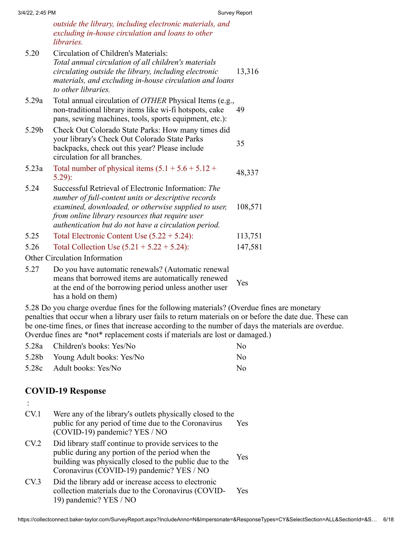*outside the library, including electronic materials, and excluding in-house circulation and loans to other libraries.*

- 5.20 Circulation of Children's Materials: *Total annual circulation of all children's materials circulating outside the library, including electronic materials, and excluding in-house circulation and loans to other libraries.* 13,316 5.29a Total annual circulation of *OTHER* Physical Items (e.g., non-traditional library items like wi-fi hotspots, cake pans, sewing machines, tools, sports equipment, etc.): 49 5.29b Check Out Colorado State Parks: How many times did your library's Check Out Colorado State Parks backpacks, check out this year? Please include circulation for all branches. 35 5.23a Total number of physical items  $(5.1 + 5.6 + 5.12 + 5.29)$ : 5.24 Successful Retrieval of Electronic Information: *The number of full-content units or descriptive records examined, downloaded, or otherwise supplied to user, from online library resources that require user authentication but do not have a circulation period.* 108,571 5.25 Total Electronic Content Use (5.22 + 5.24): 113,751 5.26 Total Collection Use (5.21 + 5.22 + 5.24): 147,581 Other Circulation Information
- 5.27 Do you have automatic renewals? (Automatic renewal means that borrowed items are automatically renewed at the end of the borrowing period unless another user has a hold on them) Yes

5.28 Do you charge overdue fines for the following materials? (Overdue fines are monetary penalties that occur when a library user fails to return materials on or before the date due. These can be one-time fines, or fines that increase according to the number of days the materials are overdue. Overdue fines are \*not\* replacement costs if materials are lost or damaged.)

| 5.28a Children's books: Yes/No  | N <sub>0</sub> |
|---------------------------------|----------------|
| 5.28b Young Adult books: Yes/No | No.            |
| 5.28c Adult books: Yes/No       | No.            |

## **COVID-19 Response**

:

- CV.1 Were any of the library's outlets physically closed to the public for any period of time due to the Coronavirus (COVID-19) pandemic? YES / NO Yes CV.2 Did library staff continue to provide services to the public during any portion of the period when the building was physically closed to the public due to the Coronavirus (COVID-19) pandemic? YES / NO Yes
- CV.3 Did the library add or increase access to electronic collection materials due to the Coronavirus (COVID-19) pandemic? YES / NO Yes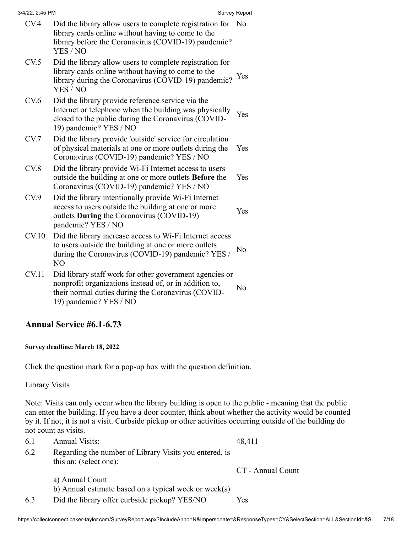| 3/4/22, 2:45 PM |  |  |
|-----------------|--|--|

| 3/4/22, 2:45 PM |                                                                                                                                                                                              | Survey Report |
|-----------------|----------------------------------------------------------------------------------------------------------------------------------------------------------------------------------------------|---------------|
| CV.4            | Did the library allow users to complete registration for No<br>library cards online without having to come to the<br>library before the Coronavirus (COVID-19) pandemic?<br>YES / NO         |               |
| CV.5            | Did the library allow users to complete registration for<br>library cards online without having to come to the<br>library during the Coronavirus (COVID-19) pandemic?<br>YES / NO            | Yes           |
| CV.6            | Did the library provide reference service via the<br>Internet or telephone when the building was physically<br>closed to the public during the Coronavirus (COVID-<br>19) pandemic? YES / NO | Yes           |
| CV.7            | Did the library provide 'outside' service for circulation<br>of physical materials at one or more outlets during the<br>Coronavirus (COVID-19) pandemic? YES / NO                            | Yes           |
| CV.8            | Did the library provide Wi-Fi Internet access to users<br>outside the building at one or more outlets <b>Before</b> the<br>Coronavirus (COVID-19) pandemic? YES / NO                         | Yes           |
| CV.9            | Did the library intentionally provide Wi-Fi Internet<br>access to users outside the building at one or more<br>outlets During the Coronavirus (COVID-19)<br>pandemic? YES / NO               | Yes           |
| CV.10           | Did the library increase access to Wi-Fi Internet access<br>to users outside the building at one or more outlets<br>during the Coronavirus (COVID-19) pandemic? YES /<br>N <sub>O</sub>      | No            |
| <b>CV.11</b>    | Did library staff work for other government agencies or<br>nonprofit organizations instead of, or in addition to,<br>their normal duties during the Coronavirus (COVID-                      | No            |

## **Annual Service #6.1-6.73**

19) pandemic? YES / NO

#### **Survey deadline: March 18, 2022**

Click the question mark for a pop-up box with the question definition.

Library Visits

Note: Visits can only occur when the library building is open to the public - meaning that the public can enter the building. If you have a door counter, think about whether the activity would be counted by it. If not, it is not a visit. Curbside pickup or other activities occurring outside of the building do not count as visits.

| 6.1 | <b>Annual Visits:</b>                                                            | 48,411            |
|-----|----------------------------------------------------------------------------------|-------------------|
| 6.2 | Regarding the number of Library Visits you entered, is<br>this an: (select one): |                   |
|     |                                                                                  | CT - Annual Count |
|     | a) Annual Count                                                                  |                   |
|     | b) Annual estimate based on a typical week or week(s)                            |                   |
| 6.3 | Did the library offer curbside pickup? YES/NO                                    | Yes               |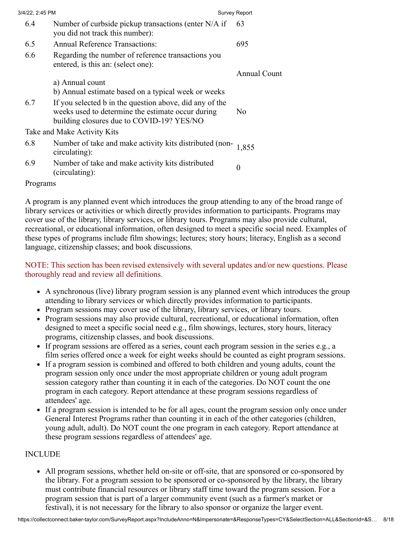| 3/4/22, 2:45 PM |                                                                                                                                                           | <b>Survey Report</b> |
|-----------------|-----------------------------------------------------------------------------------------------------------------------------------------------------------|----------------------|
| 6.4             | Number of curbside pickup transactions (enter N/A if<br>you did not track this number):                                                                   | 63                   |
| 6.5             | <b>Annual Reference Transactions:</b>                                                                                                                     | 695                  |
| 6.6             | Regarding the number of reference transactions you<br>entered, is this an: (select one):                                                                  |                      |
|                 |                                                                                                                                                           | Annual Count         |
|                 | a) Annual count                                                                                                                                           |                      |
|                 | b) Annual estimate based on a typical week or weeks                                                                                                       |                      |
| 6.7             | If you selected b in the question above, did any of the<br>weeks used to determine the estimate occur during<br>building closures due to COVID-19? YES/NO | N <sub>0</sub>       |
|                 | Take and Make Activity Kits                                                                                                                               |                      |
| 6.8             | Number of take and make activity kits distributed (non-<br>circulating):                                                                                  | 1,855                |
| 6.9             | Number of take and make activity kits distributed<br>(circulating):                                                                                       | $\boldsymbol{0}$     |
|                 |                                                                                                                                                           |                      |

#### Programs

A program is any planned event which introduces the group attending to any of the broad range of library services or activities or which directly provides information to participants. Programs may cover use of the library, library services, or library tours. Programs may also provide cultural, recreational, or educational information, often designed to meet a specific social need. Examples of these types of programs include film showings; lectures; story hours; literacy, English as a second language, citizenship classes; and book discussions.

#### NOTE: This section has been revised extensively with several updates and/or new questions. Please thoroughly read and review all definitions.

- A synchronous (live) library program session is any planned event which introduces the group attending to library services or which directly provides information to participants.
- Program sessions may cover use of the library, library services, or library tours.
- Program sessions may also provide cultural, recreational, or educational information, often designed to meet a specific social need e.g., film showings, lectures, story hours, literacy programs, citizenship classes, and book discussions.
- If program sessions are offered as a series, count each program session in the series e.g., a film series offered once a week for eight weeks should be counted as eight program sessions.
- If a program session is combined and offered to both children and young adults, count the program session only once under the most appropriate children or young adult program session category rather than counting it in each of the categories. Do NOT count the one program in each category. Report attendance at these program sessions regardless of attendees' age.
- If a program session is intended to be for all ages, count the program session only once under General Interest Programs rather than counting it in each of the other categories (children, young adult, adult). Do NOT count the one program in each category. Report attendance at these program sessions regardless of attendees' age.

## INCLUDE

All program sessions, whether held on-site or off-site, that are sponsored or co-sponsored by the library. For a program session to be sponsored or co-sponsored by the library, the library must contribute financial resources or library staff time toward the program session. For a program session that is part of a larger community event (such as a farmer's market or festival), it is not necessary for the library to also sponsor or organize the larger event.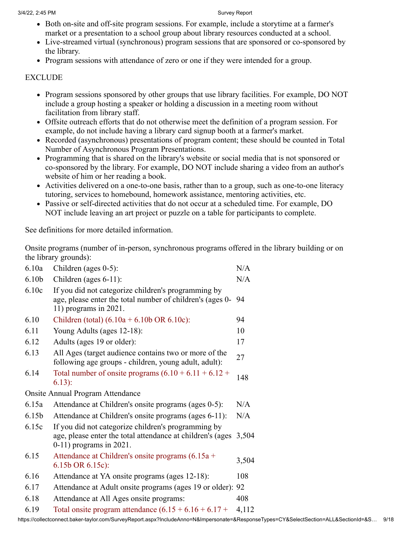- Both on-site and off-site program sessions. For example, include a storytime at a farmer's market or a presentation to a school group about library resources conducted at a school.
- Live-streamed virtual (synchronous) program sessions that are sponsored or co-sponsored by the library.
- Program sessions with attendance of zero or one if they were intended for a group.

#### EXCLUDE

- Program sessions sponsored by other groups that use library facilities. For example, DO NOT include a group hosting a speaker or holding a discussion in a meeting room without facilitation from library staff.
- Offsite outreach efforts that do not otherwise meet the definition of a program session. For example, do not include having a library card signup booth at a farmer's market.
- Recorded (asynchronous) presentations of program content; these should be counted in Total Number of Asynchronous Program Presentations.
- Programming that is shared on the library's website or social media that is not sponsored or co-sponsored by the library. For example, DO NOT include sharing a video from an author's website of him or her reading a book.
- Activities delivered on a one-to-one basis, rather than to a group, such as one-to-one literacy tutoring, services to homebound, homework assistance, mentoring activities, etc.
- Passive or self-directed activities that do not occur at a scheduled time. For example, DO NOT include leaving an art project or puzzle on a table for participants to complete.

See definitions for more detailed information.

Onsite programs (number of in-person, synchronous programs offered in the library building or on the library grounds):

| 6.10a             | Children (ages 0-5):                                                                                                                            | N/A   |
|-------------------|-------------------------------------------------------------------------------------------------------------------------------------------------|-------|
| 6.10 <sub>b</sub> | Children (ages $6-11$ ):                                                                                                                        | N/A   |
| 6.10c             | If you did not categorize children's programming by<br>age, please enter the total number of children's (ages 0-<br>$11$ ) programs in 2021.    | 94    |
| 6.10              | Children (total) $(6.10a + 6.10b \text{ OR } 6.10c)$ :                                                                                          | 94    |
| 6.11              | Young Adults (ages 12-18):                                                                                                                      | 10    |
| 6.12              | Adults (ages 19 or older):                                                                                                                      | 17    |
| 6.13              | All Ages (target audience contains two or more of the<br>following age groups - children, young adult, adult):                                  | 27    |
| 6.14              | Total number of onsite programs $(6.10 + 6.11 + 6.12 +$<br>$6.13)$ :                                                                            | 148   |
|                   | <b>Onsite Annual Program Attendance</b>                                                                                                         |       |
| 6.15a             | Attendance at Children's onsite programs (ages 0-5):                                                                                            | N/A   |
| 6.15 <sub>b</sub> | Attendance at Children's onsite programs (ages 6-11):                                                                                           | N/A   |
| 6.15c             | If you did not categorize children's programming by<br>age, please enter the total attendance at children's (ages<br>$0-11$ ) programs in 2021. | 3,504 |
| 6.15              | Attendance at Children's onsite programs (6.15a +<br>$6.15b$ OR $6.15c$ :                                                                       | 3,504 |
| 6.16              | Attendance at YA onsite programs (ages 12-18):                                                                                                  | 108   |
| 6.17              | Attendance at Adult onsite programs (ages 19 or older): 92                                                                                      |       |
| 6.18              | Attendance at All Ages onsite programs:                                                                                                         | 408   |
| 6.19              | Total onsite program attendance $(6.15 + 6.16 + 6.17 +$                                                                                         | 4,112 |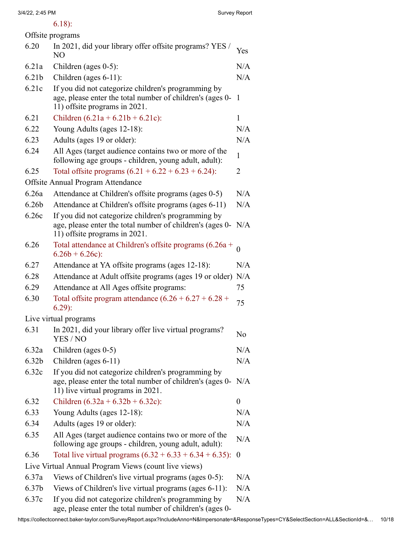## 6.18):

| Offsite programs  |                                                                                                                                                        |                  |  |
|-------------------|--------------------------------------------------------------------------------------------------------------------------------------------------------|------------------|--|
| 6.20              | In 2021, did your library offer offsite programs? YES /<br>N <sub>O</sub>                                                                              | Yes              |  |
| 6.21a             | Children (ages 0-5):                                                                                                                                   | N/A              |  |
| 6.21 <sub>b</sub> | Children (ages 6-11):                                                                                                                                  | N/A              |  |
| 6.21c             | If you did not categorize children's programming by                                                                                                    |                  |  |
|                   | age, please enter the total number of children's (ages 0-<br>11) offsite programs in 2021.                                                             | 1                |  |
| 6.21              | Children $(6.21a + 6.21b + 6.21c)$ :                                                                                                                   | 1                |  |
| 6.22              | Young Adults (ages 12-18):                                                                                                                             | N/A              |  |
| 6.23              | Adults (ages 19 or older):                                                                                                                             | N/A              |  |
| 6.24              | All Ages (target audience contains two or more of the<br>following age groups - children, young adult, adult):                                         | $\mathbf{1}$     |  |
| 6.25              | Total offsite programs $(6.21 + 6.22 + 6.23 + 6.24)$ :                                                                                                 | 2                |  |
|                   | Offsite Annual Program Attendance                                                                                                                      |                  |  |
| 6.26a             | Attendance at Children's offsite programs (ages 0-5)                                                                                                   | N/A              |  |
| 6.26 <sub>b</sub> | Attendance at Children's offsite programs (ages 6-11)                                                                                                  | N/A              |  |
| 6.26c             | If you did not categorize children's programming by<br>age, please enter the total number of children's (ages 0-<br>11) offsite programs in 2021.      | N/A              |  |
| 6.26              | Total attendance at Children's offsite programs (6.26a +<br>$6.26b + 6.26c$ :                                                                          | $\theta$         |  |
| 6.27              | Attendance at YA offsite programs (ages 12-18):                                                                                                        | N/A              |  |
| 6.28              | Attendance at Adult offsite programs (ages 19 or older)                                                                                                | N/A              |  |
| 6.29              | Attendance at All Ages offsite programs:                                                                                                               | 75               |  |
| 6.30              | Total offsite program attendance $(6.26 + 6.27 + 6.28 +$<br>$6.29$ :                                                                                   | 75               |  |
|                   | Live virtual programs                                                                                                                                  |                  |  |
| 6.31              | In 2021, did your library offer live virtual programs?<br>YES / NO                                                                                     | No               |  |
| 6.32a             | Children (ages 0-5)                                                                                                                                    | N/A              |  |
| 6.32 <sub>b</sub> | Children (ages 6-11)                                                                                                                                   | N/A              |  |
| 6.32c             | If you did not categorize children's programming by<br>age, please enter the total number of children's (ages 0-<br>11) live virtual programs in 2021. | N/A              |  |
| 6.32              | Children $(6.32a + 6.32b + 6.32c)$ :                                                                                                                   | $\boldsymbol{0}$ |  |
| 6.33              | Young Adults (ages 12-18):                                                                                                                             | N/A              |  |
| 6.34              | Adults (ages 19 or older):                                                                                                                             | N/A              |  |
| 6.35              | All Ages (target audience contains two or more of the<br>following age groups - children, young adult, adult):                                         | N/A              |  |
| 6.36              | Total live virtual programs $(6.32 + 6.33 + 6.34 + 6.35)$ :                                                                                            | $\boldsymbol{0}$ |  |
|                   | Live Virtual Annual Program Views (count live views)                                                                                                   |                  |  |
| 6.37a             | Views of Children's live virtual programs (ages 0-5):                                                                                                  | N/A              |  |
| 6.37 <sub>b</sub> | Views of Children's live virtual programs (ages 6-11):                                                                                                 | N/A              |  |
| 6.37c             | If you did not categorize children's programming by<br>age, please enter the total number of children's (ages 0-                                       | N/A              |  |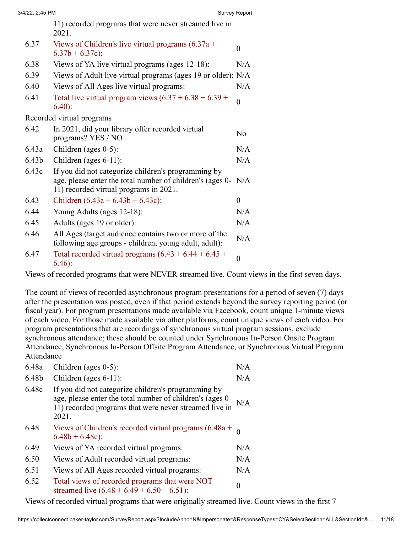|                   | 2021.                                                                                                                                                      |          |
|-------------------|------------------------------------------------------------------------------------------------------------------------------------------------------------|----------|
| 6.37              | Views of Children's live virtual programs $(6.37a +$<br>$6.37b + 6.37c$ :                                                                                  | 0        |
| 6.38              | Views of YA live virtual programs (ages 12-18):                                                                                                            | N/A      |
| 6.39              | Views of Adult live virtual programs (ages 19 or older): N/A                                                                                               |          |
| 6.40              | Views of All Ages live virtual programs:                                                                                                                   | N/A      |
| 6.41              | Total live virtual program views $(6.37 + 6.38 + 6.39 +$<br>$6.40$ :                                                                                       | 0        |
|                   | Recorded virtual programs                                                                                                                                  |          |
| 6.42              | In 2021, did your library offer recorded virtual<br>programs? YES / NO                                                                                     | No       |
| 6.43a             | Children (ages $0-5$ ):                                                                                                                                    | N/A      |
| 6.43 <sub>b</sub> | Children (ages $6-11$ ):                                                                                                                                   | N/A      |
| 6.43c             | If you did not categorize children's programming by<br>age, please enter the total number of children's (ages 0-<br>11) recorded virtual programs in 2021. | N/A      |
| 6.43              | Children $(6.43a + 6.43b + 6.43c)$ :                                                                                                                       | $\theta$ |
| 6.44              | Young Adults (ages 12-18):                                                                                                                                 | N/A      |
| 6.45              | Adults (ages 19 or older):                                                                                                                                 | N/A      |
| 6.46              | All Ages (target audience contains two or more of the<br>following age groups - children, young adult, adult):                                             | N/A      |
| 6.47              | Total recorded virtual programs $(6.43 + 6.44 + 6.45 +$<br>$6.46$ :                                                                                        | $\theta$ |

Views of recorded programs that were NEVER streamed live. Count views in the first seven days.

The count of views of recorded asynchronous program presentations for a period of seven (7) days after the presentation was posted, even if that period extends beyond the survey reporting period (or fiscal year). For program presentations made available via Facebook, count unique 1-minute views of each video. For those made available via other platforms, count unique views of each video. For program presentations that are recordings of synchronous virtual program sessions, exclude synchronous attendance; these should be counted under Synchronous In-Person Onsite Program Attendance, Synchronous In-Person Offsite Program Attendance, or Synchronous Virtual Program Attendance

| 6.48a                                                                   | Children (ages $0-5$ ):                                                                                                                                                             | N/A |  |
|-------------------------------------------------------------------------|-------------------------------------------------------------------------------------------------------------------------------------------------------------------------------------|-----|--|
| 6.48b                                                                   | Children (ages $6-11$ ):                                                                                                                                                            | N/A |  |
| 6.48c                                                                   | If you did not categorize children's programming by<br>age, please enter the total number of children's (ages 0-<br>11) recorded programs that were never streamed live in<br>2021. |     |  |
| 6.48                                                                    | Views of Children's recorded virtual programs $(6.48a +$<br>$6.48b + 6.48c$ :                                                                                                       |     |  |
| 6.49                                                                    | Views of YA recorded virtual programs:                                                                                                                                              | N/A |  |
| 6.50                                                                    | Views of Adult recorded virtual programs:                                                                                                                                           | N/A |  |
| 6.51                                                                    | Views of All Ages recorded virtual programs:                                                                                                                                        | N/A |  |
| 6.52                                                                    | Total views of recorded programs that were NOT<br>streamed live $(6.48 + 6.49 + 6.50 + 6.51)$ :                                                                                     | 0   |  |
| Vegya of recorded virtual are groups that were originally stronged live |                                                                                                                                                                                     |     |  |

Views of recorded virtual programs that were originally streamed live. Count views in the first 7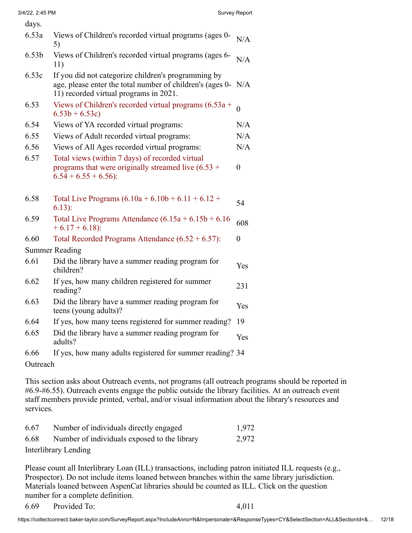| days.             |                                                                                                                                                            |                |
|-------------------|------------------------------------------------------------------------------------------------------------------------------------------------------------|----------------|
| 6.53a             | Views of Children's recorded virtual programs (ages 0-<br>5)                                                                                               | N/A            |
| 6.53 <sub>b</sub> | Views of Children's recorded virtual programs (ages 6-<br>11)                                                                                              | N/A            |
| 6.53c             | If you did not categorize children's programming by<br>age, please enter the total number of children's (ages 0-<br>11) recorded virtual programs in 2021. | N/A            |
| 6.53              | Views of Children's recorded virtual programs $(6.53a +$<br>$6.53b + 6.53c$                                                                                | $\theta$       |
| 6.54              | Views of YA recorded virtual programs:                                                                                                                     | N/A            |
| 6.55              | Views of Adult recorded virtual programs:                                                                                                                  | N/A            |
| 6.56              | Views of All Ages recorded virtual programs:                                                                                                               | N/A            |
| 6.57              | Total views (within 7 days) of recorded virtual<br>programs that were originally streamed live $(6.53 +$<br>$6.54 + 6.55 + 6.56$ :                         | 0              |
| 6.58              | Total Live Programs $(6.10a + 6.10b + 6.11 + 6.12 +$<br>$6.13$ :                                                                                           | 54             |
| 6.59              | Total Live Programs Attendance $(6.15a + 6.15b + 6.16$<br>$+6.17 + 6.18$ :                                                                                 | 608            |
| 6.60              | Total Recorded Programs Attendance $(6.52 + 6.57)$ :                                                                                                       | $\overline{0}$ |
|                   | <b>Summer Reading</b>                                                                                                                                      |                |
| 6.61              | Did the library have a summer reading program for<br>children?                                                                                             | Yes            |
| 6.62              | If yes, how many children registered for summer<br>reading?                                                                                                | 231            |
| 6.63              | Did the library have a summer reading program for<br>teens (young adults)?                                                                                 | Yes            |
| 6.64              | If yes, how many teens registered for summer reading?                                                                                                      | 19             |
| 6.65              | Did the library have a summer reading program for<br>adults?                                                                                               | Yes            |
| 6.66              | If yes, how many adults registered for summer reading? 34                                                                                                  |                |
| Outreach          |                                                                                                                                                            |                |

This section asks about Outreach events, not programs (all outreach programs should be reported in #6.9-#6.55). Outreach events engage the public outside the library facilities. At an outreach event staff members provide printed, verbal, and/or visual information about the library's resources and services.

| 6.67 | Number of individuals directly engaged       | 1,972 |
|------|----------------------------------------------|-------|
| 6.68 | Number of individuals exposed to the library | 2,972 |
|      | Interlibrary Lending                         |       |

Please count all Interlibrary Loan (ILL) transactions, including patron initiated ILL requests (e.g., Prospector). Do not include items loaned between branches within the same library jurisdiction. Materials loaned between AspenCat libraries should be counted as ILL. Click on the question number for a complete definition.

6.69 Provided To: 4,011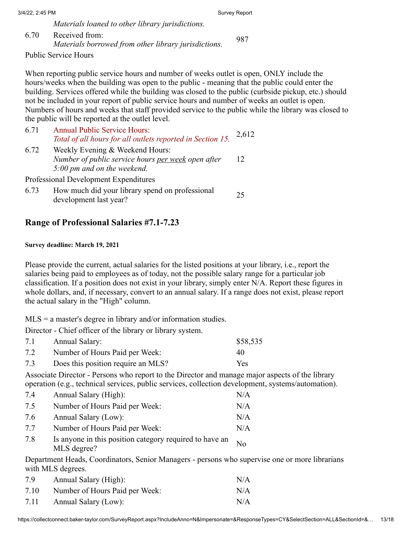| 3/4/22, 2:45 PM |                                                                        | Survey Report |
|-----------------|------------------------------------------------------------------------|---------------|
|                 | Materials loaned to other library jurisdictions.                       |               |
| 6.70            | Received from:<br>Materials borrowed from other library jurisdictions. | 987           |

Public Service Hours

When reporting public service hours and number of weeks outlet is open, ONLY include the hours/weeks when the building was open to the public - meaning that the public could enter the building. Services offered while the building was closed to the public (curbside pickup, etc.) should not be included in your report of public service hours and number of weeks an outlet is open. Numbers of hours and weeks that staff provided service to the public while the library was closed to the public will be reported at the outlet level.

| 6.71 | <b>Annual Public Service Hours:</b><br>Total of all hours for all outlets reported in Section 15. | 2,612 |
|------|---------------------------------------------------------------------------------------------------|-------|
| 6.72 | Weekly Evening & Weekend Hours:                                                                   |       |
|      | Number of public service hours per week open after                                                | 12    |
|      | 5:00 pm and on the weekend.                                                                       |       |
|      | Professional Development Expenditures                                                             |       |
| 6.73 | How much did your library spend on professional<br>development last year?                         | 25    |

## **Range of Professional Salaries #7.1-7.23**

#### **Survey deadline: March 19, 2021**

Please provide the current, actual salaries for the listed positions at your library, i.e., report the salaries being paid to employees as of today, not the possible salary range for a particular job classification. If a position does not exist in your library, simply enter N/A. Report these figures in whole dollars, and, if necessary, convert to an annual salary. If a range does not exist, please report the actual salary in the "High" column.

 $MLS = a$  master's degree in library and/or information studies.

Director - Chief officer of the library or library system.

| 7.1 | Annual Salary:                     | \$58,535 |
|-----|------------------------------------|----------|
| 7.2 | Number of Hours Paid per Week:     | 40       |
| 7.3 | Does this position require an MLS? | Yes.     |

Associate Director - Persons who report to the Director and manage major aspects of the library operation (e.g., technical services, public services, collection development, systems/automation).

| 7.4 | Annual Salary (High):                                                  | N/A |
|-----|------------------------------------------------------------------------|-----|
| 7.5 | Number of Hours Paid per Week:                                         | N/A |
| 7.6 | Annual Salary (Low):                                                   | N/A |
| 7.7 | Number of Hours Paid per Week:                                         | N/A |
| 7.8 | Is anyone in this position category required to have an<br>MLS degree? | No  |

Department Heads, Coordinators, Senior Managers - persons who supervise one or more librarians with MLS degrees.

| 7.9  | Annual Salary (High):          | N/A |
|------|--------------------------------|-----|
| 7.10 | Number of Hours Paid per Week: | N/A |
| 7.11 | Annual Salary (Low):           | N/A |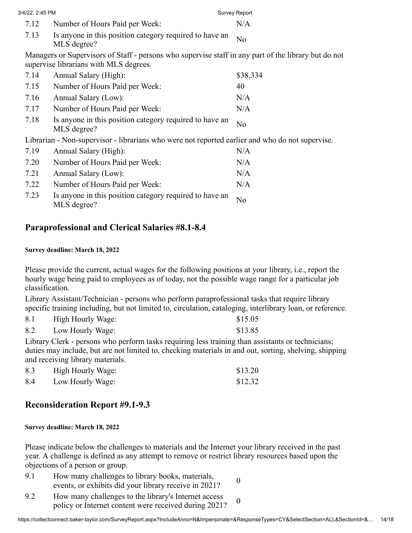| 3/4/22, 2:45 PM |                                                                                                                                                | Survey Report  |
|-----------------|------------------------------------------------------------------------------------------------------------------------------------------------|----------------|
| 7.12            | Number of Hours Paid per Week:                                                                                                                 | N/A            |
| 7.13            | Is anyone in this position category required to have an<br>MLS degree?                                                                         | No             |
|                 | Managers or Supervisors of Staff - persons who supervise staff in any part of the library but do not<br>supervise librarians with MLS degrees. |                |
| 7.14            | Annual Salary (High):                                                                                                                          | \$38,334       |
| 7.15            | Number of Hours Paid per Week:                                                                                                                 | 40             |
| 7.16            | Annual Salary (Low):                                                                                                                           | N/A            |
| 7.17            | Number of Hours Paid per Week:                                                                                                                 | N/A            |
| 7.18            | Is anyone in this position category required to have an<br>MLS degree?                                                                         | N <sub>o</sub> |
|                 | Librarian - Non-supervisor - librarians who were not reported earlier and who do not supervise.                                                |                |
| 7.19            | Annual Salary (High):                                                                                                                          | N/A            |
| 7.20            | Number of Hours Paid per Week:                                                                                                                 | N/A            |
| 7.21            | Annual Salary (Low):                                                                                                                           | N/A            |
|                 |                                                                                                                                                |                |

| 7.22 | Number of Hours Paid per Week:                                              | N/A |
|------|-----------------------------------------------------------------------------|-----|
| 7.23 | Is anyone in this position category required to have an $N0$<br>MLS degree? |     |

## **Paraprofessional and Clerical Salaries #8.1-8.4**

#### **Survey deadline: March 18, 2022**

Please provide the current, actual wages for the following positions at your library, i.e., report the hourly wage being paid to employees as of today, not the possible wage range for a particular job classification.

Library Assistant/Technician - persons who perform paraprofessional tasks that require library specific training including, but not limited to, circulation, cataloging, interlibrary loan, or reference.

| 8.1 | High Hourly Wage: | \$15.05 |
|-----|-------------------|---------|
| 8.2 | Low Hourly Wage:  | \$13.85 |

Library Clerk - persons who perform tasks requiring less training than assistants or technicians; duties may include, but are not limited to, checking materials in and out, sorting, shelving, shipping and receiving library materials.

| 8.3 | High Hourly Wage: | \$13.20 |
|-----|-------------------|---------|
| 8.4 | Low Hourly Wage:  | \$12.32 |

## **Reconsideration Report #9.1-9.3**

#### **Survey deadline: March 18, 2022**

Please indicate below the challenges to materials and the Internet your library received in the past year. A challenge is defined as any attempt to remove or restrict library resources based upon the objections of a person or group.

- 9.1 How many challenges to library books, materials, events, or exhibits did your library receive in 2021?
- 9.2 How many challenges to the library's Internet access policy or Internet content were received during 2021?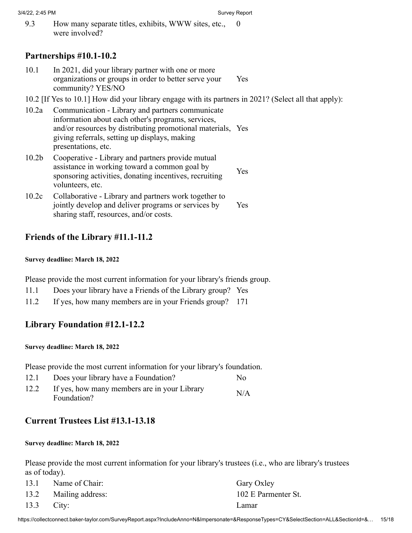9.3 How many separate titles, exhibits, WWW sites, etc., were involved?  $\theta$ 

## **Partnerships #10.1-10.2**

- 10.1 In 2021, did your library partner with one or more organizations or groups in order to better serve your community? YES/NO Yes
- 10.2 [If Yes to 10.1] How did your library engage with its partners in 2021? (Select all that apply):
- 10.2a Communication Library and partners communicate information about each other's programs, services, and/or resources by distributing promotional materials, Yes giving referrals, setting up displays, making presentations, etc.
- 10.2b Cooperative Library and partners provide mutual assistance in working toward a common goal by sponsoring activities, donating incentives, recruiting volunteers, etc. Yes
- 10.2c Collaborative Library and partners work together to jointly develop and deliver programs or services by sharing staff, resources, and/or costs. Yes

## **Friends of the Library #11.1-11.2**

#### **Survey deadline: March 18, 2022**

Please provide the most current information for your library's friends group.

- 11.1 Does your library have a Friends of the Library group? Yes
- 11.2 If yes, how many members are in your Friends group? 171

## **Library Foundation #12.1-12.2**

#### **Survey deadline: March 18, 2022**

Please provide the most current information for your library's foundation.

12.1 Does your library have a Foundation? No 12.2 If yes, how many members are in your Library<br>Foundation?

## **Current Trustees List #13.1-13.18**

#### **Survey deadline: March 18, 2022**

Please provide the most current information for your library's trustees (i.e., who are library's trustees as of today).

|              | 13.1 Name of Chair:   | Gary Oxley          |
|--------------|-----------------------|---------------------|
|              | 13.2 Mailing address: | 102 E Parmenter St. |
| $13.3$ City: |                       | Lamar               |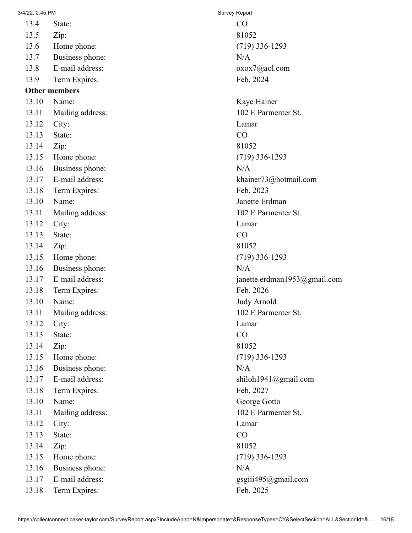13.4 State: CO 13.5 Zip: 81052

13.6 Home phone: (719) 336-1293

13.7 Business phone: N/A

13.8 E-mail address: oxox7@aol.com

13.9 Term Expires: Feb. 2024

## **Other members**

13.10 Name: Kaye Hainer

- 13.11 Mailing address: 102 E Parmenter St.
- 13.12 City: Lamar
- 13.13 State: CO

13.14 Zip: 81052

13.15 Home phone: (719) 336-1293

- 13.16 Business phone: N/A
- 
- 13.18 Term Expires: Feb. 2023
- 
- 13.11 Mailing address: 102 E Parmenter St.
- 13.12 City: Lamar
- 13.13 State: CO
- 13.14 Zip: 81052
- 13.15 Home phone: (719) 336-1293
- 13.16 Business phone: N/A
- 
- 13.18 Term Expires: Feb. 2026
- 13.10 Name: Judy Arnold
- 13.11 Mailing address: 102 E Parmenter St.
- 13.12 City: Lamar
- 13.13 State: CO
- 13.14 Zip: 81052
- 13.15 Home phone: (719) 336-1293
- 13.16 Business phone: N/A
- 
- 13.18 Term Expires: Feb. 2027
- 13.10 Name: George Gotto
- 13.11 Mailing address: 102 E Parmenter St.
- 13.12 City: Lamar
- 13.13 State: CO
- 13.14 Zip: 81052
- 13.15 Home phone: (719) 336-1293
- 13.16 Business phone: N/A
- 13.17 E-mail address: gsgiii495@gmail.com
- 13.18 Term Expires: Feb. 2025

13.17 E-mail address: khainer73@hotmail.com 13.10 Name: Janette Erdman 13.17 E-mail address: janette.erdman1953@gmail.com 13.17 E-mail address: shiloh1941@gmail.com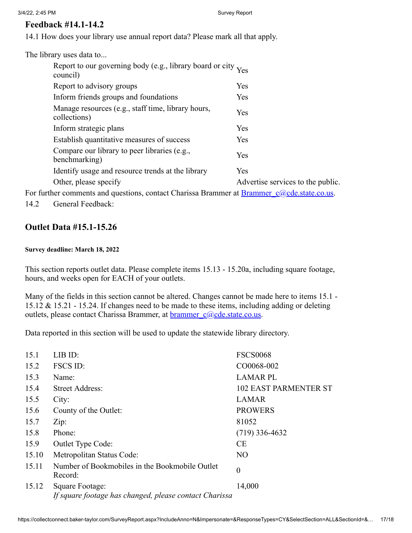## **Feedback #14.1-14.2**

14.1 How does your library use annual report data? Please mark all that apply.

The library uses data to...

| Report to our governing body (e.g., library board or city Yes<br>council) |                                   |
|---------------------------------------------------------------------------|-----------------------------------|
| Report to advisory groups                                                 | Yes                               |
| Inform friends groups and foundations                                     | Yes                               |
| Manage resources (e.g., staff time, library hours,<br>collections)        | <b>Yes</b>                        |
| Inform strategic plans                                                    | Yes                               |
| Establish quantitative measures of success                                | Yes.                              |
| Compare our library to peer libraries (e.g.,<br>benchmarking)             | Yes                               |
| Identify usage and resource trends at the library                         | <b>Yes</b>                        |
| Other, please specify                                                     | Advertise services to the public. |
|                                                                           |                                   |

For further comments and questions, contact Charissa Brammer at  $Brammer$   $c@cde.state.co.us.$ 

14.2 General Feedback:

## **Outlet Data #15.1-15.26**

#### **Survey deadline: March 18, 2022**

This section reports outlet data. Please complete items 15.13 - 15.20a, including square footage, hours, and weeks open for EACH of your outlets.

Many of the fields in this section cannot be altered. Changes cannot be made here to items 15.1 - 15.12 & 15.21 - 15.24. If changes need to be made to these items, including adding or deleting outlets, please contact Charissa Brammer, at **brammer** c@cde.state.co.us.

Data reported in this section will be used to update the statewide library directory.

| 15.1  | LIB ID:                                                                   | <b>FSCS0068</b>              |
|-------|---------------------------------------------------------------------------|------------------------------|
| 15.2  | <b>FSCS ID:</b>                                                           | CO0068-002                   |
| 15.3  | Name:                                                                     | <b>LAMAR PL</b>              |
| 15.4  | <b>Street Address:</b>                                                    | <b>102 EAST PARMENTER ST</b> |
| 15.5  | City:                                                                     | <b>LAMAR</b>                 |
| 15.6  | County of the Outlet:                                                     | <b>PROWERS</b>               |
| 15.7  | Zip:                                                                      | 81052                        |
| 15.8  | Phone:                                                                    | $(719)$ 336-4632             |
| 15.9  | Outlet Type Code:                                                         | CE                           |
| 15.10 | Metropolitan Status Code:                                                 | N <sub>O</sub>               |
| 15.11 | Number of Bookmobiles in the Bookmobile Outlet<br>Record:                 | $\boldsymbol{0}$             |
| 15.12 | Square Footage:<br>If square footage has changed, please contact Charissa | 14,000                       |